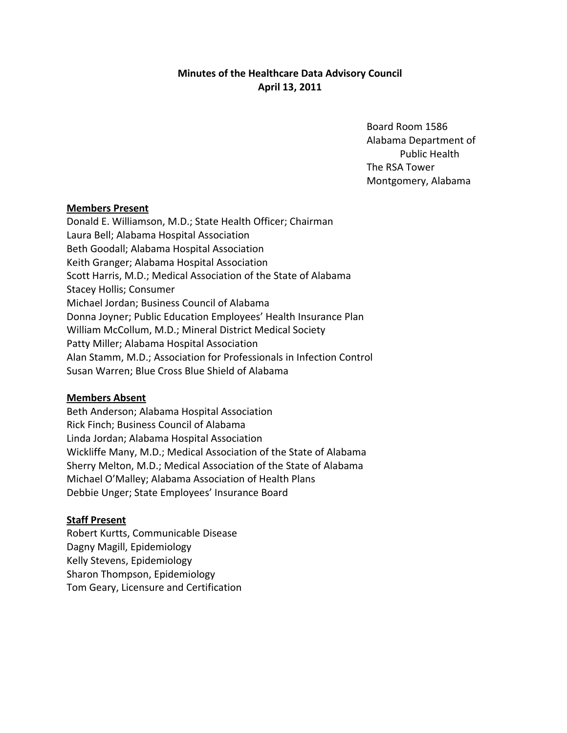# **Minutes of the Healthcare Data Advisory Council April 13, 2011**

Board Room 1586 Alabama Department of Public Health The RSA Tower Montgomery, Alabama

## **Members Present**

Donald E. Williamson, M.D.; State Health Officer; Chairman Laura Bell; Alabama Hospital Association Beth Goodall; Alabama Hospital Association Keith Granger; Alabama Hospital Association Scott Harris, M.D.; Medical Association of the State of Alabama Stacey Hollis; Consumer Michael Jordan; Business Council of Alabama Donna Joyner; Public Education Employees' Health Insurance Plan William McCollum, M.D.; Mineral District Medical Society Patty Miller; Alabama Hospital Association Alan Stamm, M.D.; Association for Professionals in Infection Control Susan Warren; Blue Cross Blue Shield of Alabama

### **Members Absent**

Beth Anderson; Alabama Hospital Association Rick Finch; Business Council of Alabama Linda Jordan; Alabama Hospital Association Wickliffe Many, M.D.; Medical Association of the State of Alabama Sherry Melton, M.D.; Medical Association of the State of Alabama Michael O'Malley; Alabama Association of Health Plans Debbie Unger; State Employees' Insurance Board

## **Staff Present**

Robert Kurtts, Communicable Disease Dagny Magill, Epidemiology Kelly Stevens, Epidemiology Sharon Thompson, Epidemiology Tom Geary, Licensure and Certification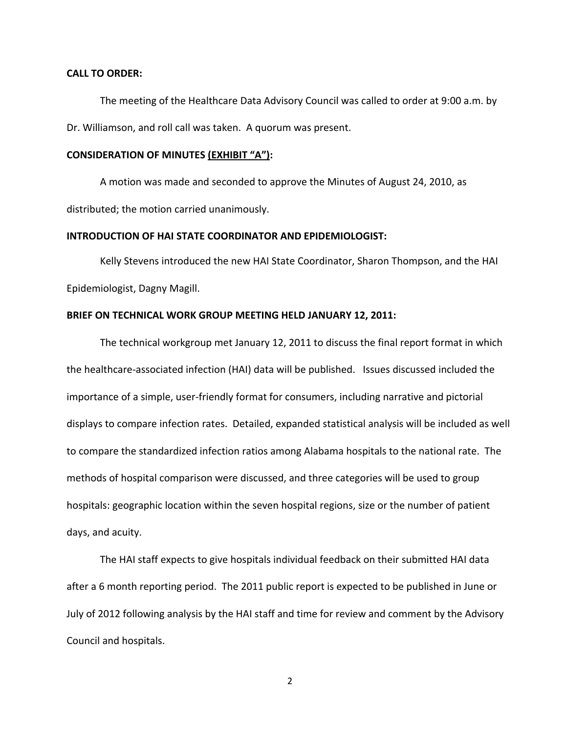#### **CALL TO ORDER:**

The meeting of the Healthcare Data Advisory Council was called to order at 9:00 a.m. by Dr. Williamson, and roll call was taken. A quorum was present.

#### **CONSIDERATION OF MINUTES (EXHIBIT "A"):**

A motion was made and seconded to approve the Minutes of August 24, 2010, as distributed; the motion carried unanimously.

#### **INTRODUCTION OF HAI STATE COORDINATOR AND EPIDEMIOLOGIST:**

Kelly Stevens introduced the new HAI State Coordinator, Sharon Thompson, and the HAI Epidemiologist, Dagny Magill.

#### **BRIEF ON TECHNICAL WORK GROUP MEETING HELD JANUARY 12, 2011:**

The technical workgroup met January 12, 2011 to discuss the final report format in which the healthcare‐associated infection (HAI) data will be published. Issues discussed included the importance of a simple, user-friendly format for consumers, including narrative and pictorial displays to compare infection rates. Detailed, expanded statistical analysis will be included as well to compare the standardized infection ratios among Alabama hospitals to the national rate. The methods of hospital comparison were discussed, and three categories will be used to group hospitals: geographic location within the seven hospital regions, size or the number of patient days, and acuity.

The HAI staff expects to give hospitals individual feedback on their submitted HAI data after a 6 month reporting period. The 2011 public report is expected to be published in June or July of 2012 following analysis by the HAI staff and time for review and comment by the Advisory Council and hospitals.

2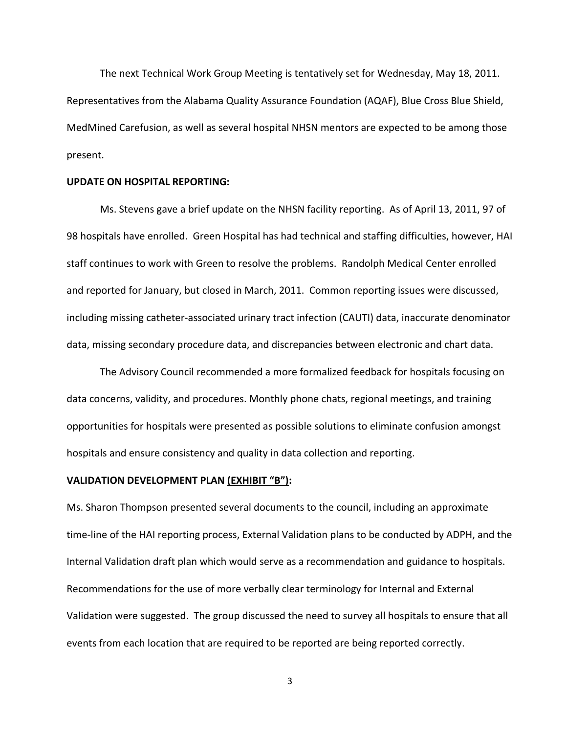The next Technical Work Group Meeting is tentatively set for Wednesday, May 18, 2011. Representatives from the Alabama Quality Assurance Foundation (AQAF), Blue Cross Blue Shield, MedMined Carefusion, as well as several hospital NHSN mentors are expected to be among those present.

#### **UPDATE ON HOSPITAL REPORTING:**

Ms. Stevens gave a brief update on the NHSN facility reporting. As of April 13, 2011, 97 of 98 hospitals have enrolled. Green Hospital has had technical and staffing difficulties, however, HAI staff continues to work with Green to resolve the problems. Randolph Medical Center enrolled and reported for January, but closed in March, 2011. Common reporting issues were discussed, including missing catheter‐associated urinary tract infection (CAUTI) data, inaccurate denominator data, missing secondary procedure data, and discrepancies between electronic and chart data.

The Advisory Council recommended a more formalized feedback for hospitals focusing on data concerns, validity, and procedures. Monthly phone chats, regional meetings, and training opportunities for hospitals were presented as possible solutions to eliminate confusion amongst hospitals and ensure consistency and quality in data collection and reporting.

## **VALIDATION DEVELOPMENT PLAN (EXHIBIT "B"):**

Ms. Sharon Thompson presented several documents to the council, including an approximate time‐line of the HAI reporting process, External Validation plans to be conducted by ADPH, and the Internal Validation draft plan which would serve as a recommendation and guidance to hospitals. Recommendations for the use of more verbally clear terminology for Internal and External Validation were suggested. The group discussed the need to survey all hospitals to ensure that all events from each location that are required to be reported are being reported correctly.

3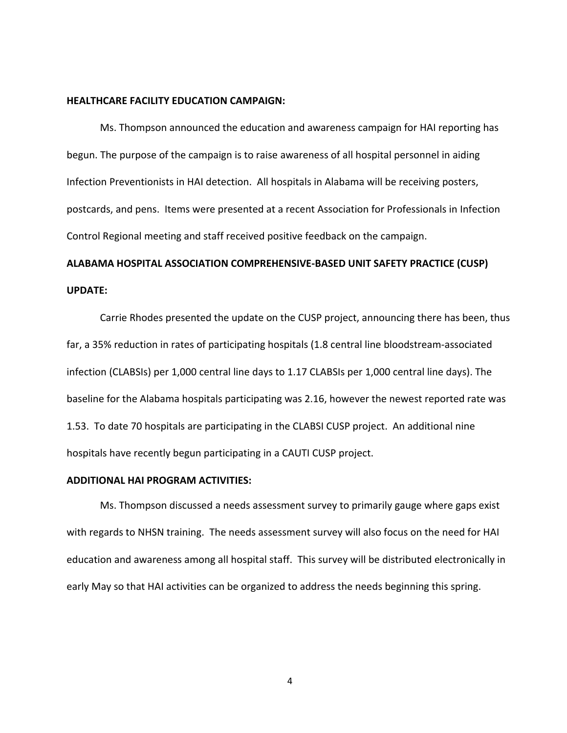#### **HEALTHCARE FACILITY EDUCATION CAMPAIGN:**

Ms. Thompson announced the education and awareness campaign for HAI reporting has begun. The purpose of the campaign is to raise awareness of all hospital personnel in aiding Infection Preventionists in HAI detection. All hospitals in Alabama will be receiving posters, postcards, and pens. Items were presented at a recent Association for Professionals in Infection Control Regional meeting and staff received positive feedback on the campaign.

# **ALABAMA HOSPITAL ASSOCIATION COMPREHENSIVE‐BASED UNIT SAFETY PRACTICE (CUSP) UPDATE:**

Carrie Rhodes presented the update on the CUSP project, announcing there has been, thus far, a 35% reduction in rates of participating hospitals (1.8 central line bloodstream‐associated infection (CLABSIs) per 1,000 central line days to 1.17 CLABSIs per 1,000 central line days). The baseline for the Alabama hospitals participating was 2.16, however the newest reported rate was 1.53. To date 70 hospitals are participating in the CLABSI CUSP project. An additional nine hospitals have recently begun participating in a CAUTI CUSP project.

## **ADDITIONAL HAI PROGRAM ACTIVITIES:**

Ms. Thompson discussed a needs assessment survey to primarily gauge where gaps exist with regards to NHSN training. The needs assessment survey will also focus on the need for HAI education and awareness among all hospital staff. This survey will be distributed electronically in early May so that HAI activities can be organized to address the needs beginning this spring.

4